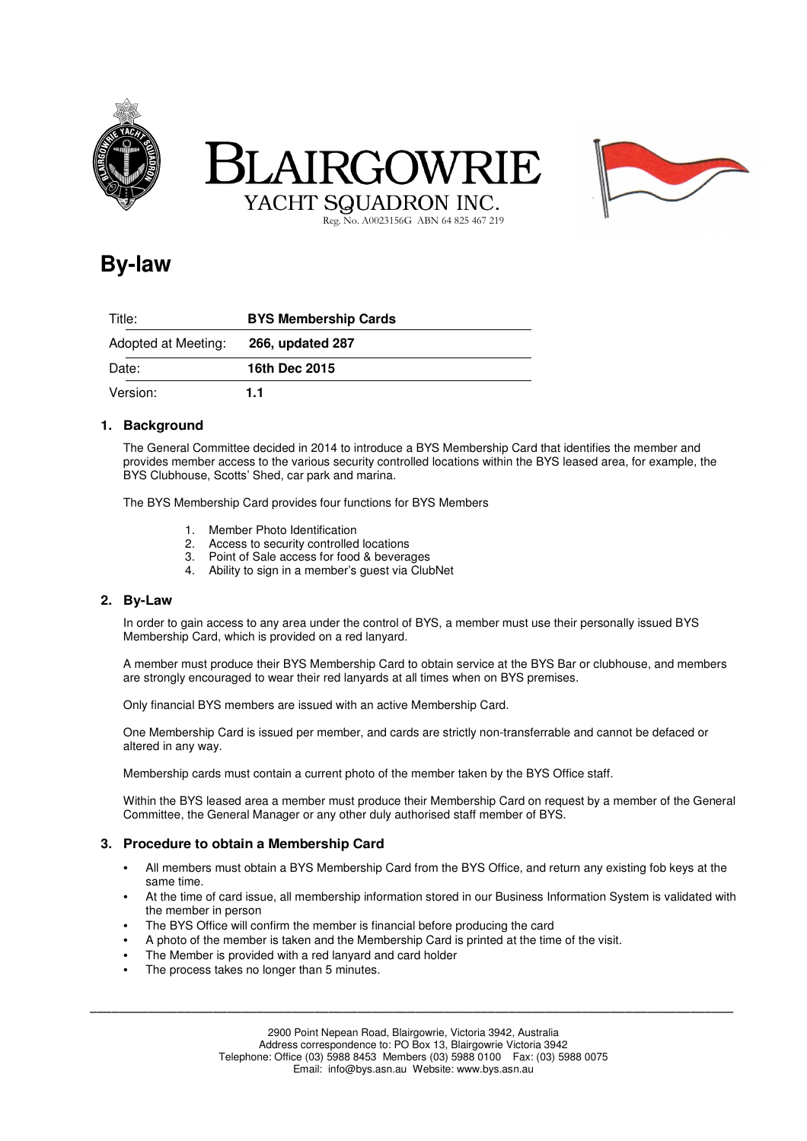





Reg. No. A0023156G ABN 64 825 467 219

# **By-law**

| Title:              | <b>BYS Membership Cards</b> |
|---------------------|-----------------------------|
| Adopted at Meeting: | 266, updated 287            |
| Date:               | 16th Dec 2015               |
| Version:            | 1.1                         |

## **1. Background**

The General Committee decided in 2014 to introduce a BYS Membership Card that identifies the member and provides member access to the various security controlled locations within the BYS leased area, for example, the BYS Clubhouse, Scotts' Shed, car park and marina.

The BYS Membership Card provides four functions for BYS Members

- 1. Member Photo Identification
- 2. Access to security controlled locations
- 3. Point of Sale access for food & beverages
- 4. Ability to sign in a member's guest via ClubNet

#### **2. By-Law**

In order to gain access to any area under the control of BYS, a member must use their personally issued BYS Membership Card, which is provided on a red lanyard.

A member must produce their BYS Membership Card to obtain service at the BYS Bar or clubhouse, and members are strongly encouraged to wear their red lanyards at all times when on BYS premises.

Only financial BYS members are issued with an active Membership Card.

One Membership Card is issued per member, and cards are strictly non-transferrable and cannot be defaced or altered in any way.

Membership cards must contain a current photo of the member taken by the BYS Office staff.

Within the BYS leased area a member must produce their Membership Card on request by a member of the General Committee, the General Manager or any other duly authorised staff member of BYS.

#### **3. Procedure to obtain a Membership Card**

- All members must obtain a BYS Membership Card from the BYS Office, and return any existing fob keys at the same time.
- At the time of card issue, all membership information stored in our Business Information System is validated with the member in person
- The BYS Office will confirm the member is financial before producing the card
- A photo of the member is taken and the Membership Card is printed at the time of the visit.
- The Member is provided with a red lanyard and card holder
- The process takes no longer than 5 minutes.

\_\_\_\_\_\_\_\_\_\_\_\_\_\_\_\_\_\_\_\_\_\_\_\_\_\_\_\_\_\_\_\_\_\_\_\_\_\_\_\_\_\_\_\_\_\_\_\_\_\_\_\_\_\_\_\_\_\_\_\_\_\_\_\_\_\_\_\_\_\_\_\_\_\_\_\_\_\_\_\_\_\_\_\_\_\_\_\_\_